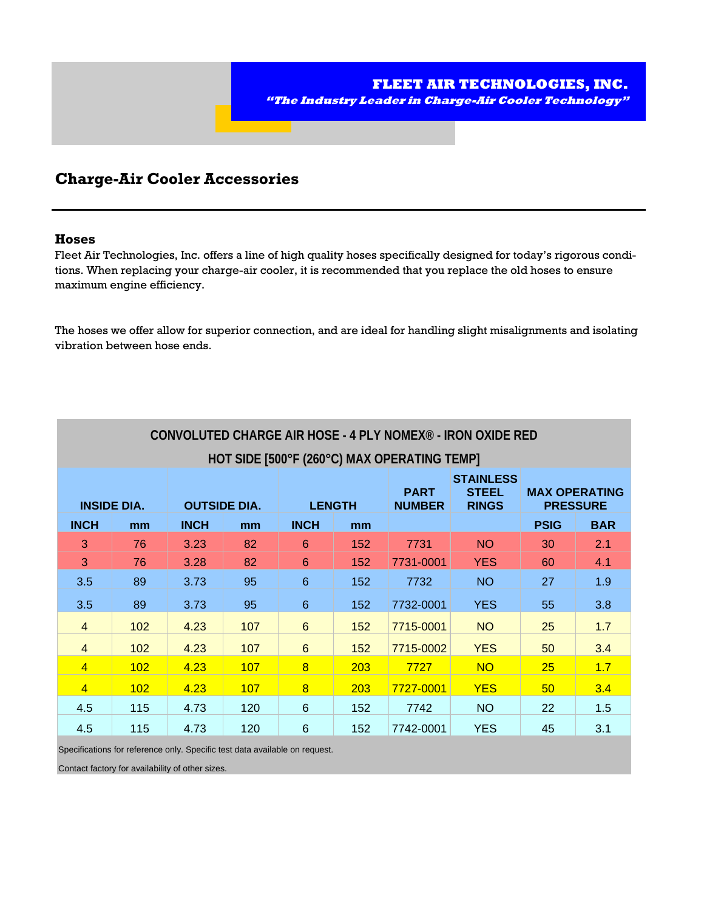

## **Charge-Air Cooler Accessories**

#### **Hoses**

Fleet Air Technologies, Inc. offers a line of high quality hoses specifically designed for today's rigorous conditions. When replacing your charge-air cooler, it is recommended that you replace the old hoses to ensure maximum engine efficiency.

The hoses we offer allow for superior connection, and are ideal for handling slight misalignments and isolating vibration between hose ends.

| CONVOLUTED CHARGE AIR HOSE - 4 PLY NOMEX <sup>®</sup> - IRON OXIDE RED |     |                     |     |                 |     |                              |                                                  |                                         |            |
|------------------------------------------------------------------------|-----|---------------------|-----|-----------------|-----|------------------------------|--------------------------------------------------|-----------------------------------------|------------|
| HOT SIDE [500°F (260°C) MAX OPERATING TEMP]                            |     |                     |     |                 |     |                              |                                                  |                                         |            |
| <b>INSIDE DIA.</b>                                                     |     | <b>OUTSIDE DIA.</b> |     | <b>LENGTH</b>   |     | <b>PART</b><br><b>NUMBER</b> | <b>STAINLESS</b><br><b>STEEL</b><br><b>RINGS</b> | <b>MAX OPERATING</b><br><b>PRESSURE</b> |            |
| <b>INCH</b>                                                            | mm  | <b>INCH</b>         | mm  | <b>INCH</b>     | mm  |                              |                                                  | <b>PSIG</b>                             | <b>BAR</b> |
| 3                                                                      | 76  | 3.23                | 82  | 6               | 152 | 7731                         | <b>NO</b>                                        | 30                                      | 2.1        |
| 3                                                                      | 76  | 3.28                | 82  | 6               | 152 | 7731-0001                    | <b>YES</b>                                       | 60                                      | 4.1        |
| 3.5                                                                    | 89  | 3.73                | 95  | 6               | 152 | 7732                         | <b>NO</b>                                        | 27                                      | 1.9        |
| 3.5                                                                    | 89  | 3.73                | 95  | 6               | 152 | 7732-0001                    | <b>YES</b>                                       | 55                                      | 3.8        |
| $\overline{4}$                                                         | 102 | 4.23                | 107 | 6               | 152 | 7715-0001                    | <b>NO</b>                                        | 25                                      | 1.7        |
| $\overline{4}$                                                         | 102 | 4.23                | 107 | 6               | 152 | 7715-0002                    | <b>YES</b>                                       | 50                                      | 3.4        |
| $\overline{4}$                                                         | 102 | 4.23                | 107 | 8               | 203 | 7727                         | <b>NO</b>                                        | 25                                      | 1.7        |
| $\overline{4}$                                                         | 102 | 4.23                | 107 | $\overline{8}$  | 203 | 7727-0001                    | <b>YES</b>                                       | 50                                      | 3.4        |
| 4.5                                                                    | 115 | 4.73                | 120 | 6               | 152 | 7742                         | <b>NO</b>                                        | 22                                      | 1.5        |
| 4.5                                                                    | 115 | 4.73                | 120 | $6\phantom{1}6$ | 152 | 7742-0001                    | <b>YES</b>                                       | 45                                      | 3.1        |

Specifications for reference only. Specific test data available on request.

Contact factory for availability of other sizes.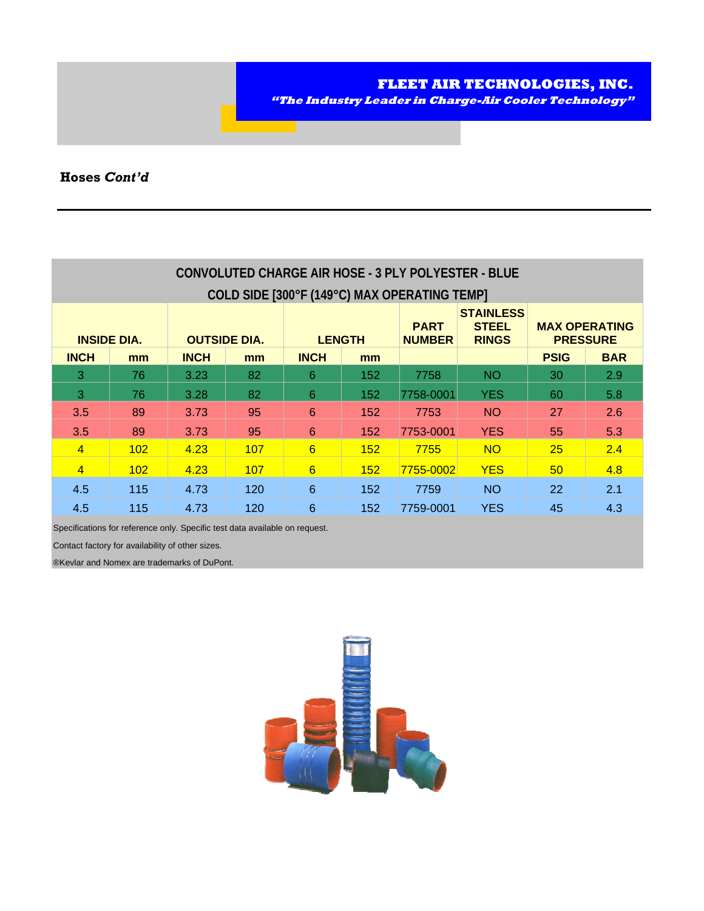| "The Industry Leader in Charge-Air Cooler Technology" | FLEET AIR TECHNOLOGIES, INC. |  |  |
|-------------------------------------------------------|------------------------------|--|--|
|                                                       |                              |  |  |

## **Hoses** *Cont'd*

| CONVOLUTED CHARGE AIR HOSE - 3 PLY POLYESTER - BLUE<br>COLD SIDE [300°F (149°C) MAX OPERATING TEMP] |     |                     |     |               |     |                              |                                                  |                                         |            |
|-----------------------------------------------------------------------------------------------------|-----|---------------------|-----|---------------|-----|------------------------------|--------------------------------------------------|-----------------------------------------|------------|
| <b>INSIDE DIA.</b>                                                                                  |     | <b>OUTSIDE DIA.</b> |     | <b>LENGTH</b> |     | <b>PART</b><br><b>NUMBER</b> | <b>STAINLESS</b><br><b>STEEL</b><br><b>RINGS</b> | <b>MAX OPERATING</b><br><b>PRESSURE</b> |            |
| <b>INCH</b>                                                                                         | mm  | <b>INCH</b>         | mm  | <b>INCH</b>   | mm  |                              |                                                  | <b>PSIG</b>                             | <b>BAR</b> |
| 3                                                                                                   | 76  | 3.23                | 82  | 6             | 152 | 7758                         | <b>NO</b>                                        | 30                                      | 2.9        |
| 3                                                                                                   | 76  | 3.28                | 82  | 6             | 152 | 7758-0001                    | <b>YES</b>                                       | 60                                      | 5.8        |
| 3.5                                                                                                 | 89  | 3.73                | 95  | 6             | 152 | 7753                         | <b>NO</b>                                        | 27                                      | 2.6        |
| 3.5                                                                                                 | 89  | 3.73                | 95  | 6             | 152 | 7753-0001                    | <b>YES</b>                                       | 55                                      | 5.3        |
| $\overline{4}$                                                                                      | 102 | 4.23                | 107 | 6             | 152 | 7755                         | <b>NO</b>                                        | 25                                      | 2.4        |
| $\overline{4}$                                                                                      | 102 | 4.23                | 107 | 6             | 152 | 7755-0002                    | <b>YES</b>                                       | 50 <sup>°</sup>                         | 4.8        |
| 4.5                                                                                                 | 115 | 4.73                | 120 | 6             | 152 | 7759                         | <b>NO</b>                                        | 22                                      | 2.1        |
| 4.5                                                                                                 | 115 | 4.73                | 120 | 6             | 152 | 7759-0001                    | <b>YES</b>                                       | 45                                      | 4.3        |

Specifications for reference only. Specific test data available on request.

Contact factory for availability of other sizes.

®Kevlar and Nomex are trademarks of DuPont.

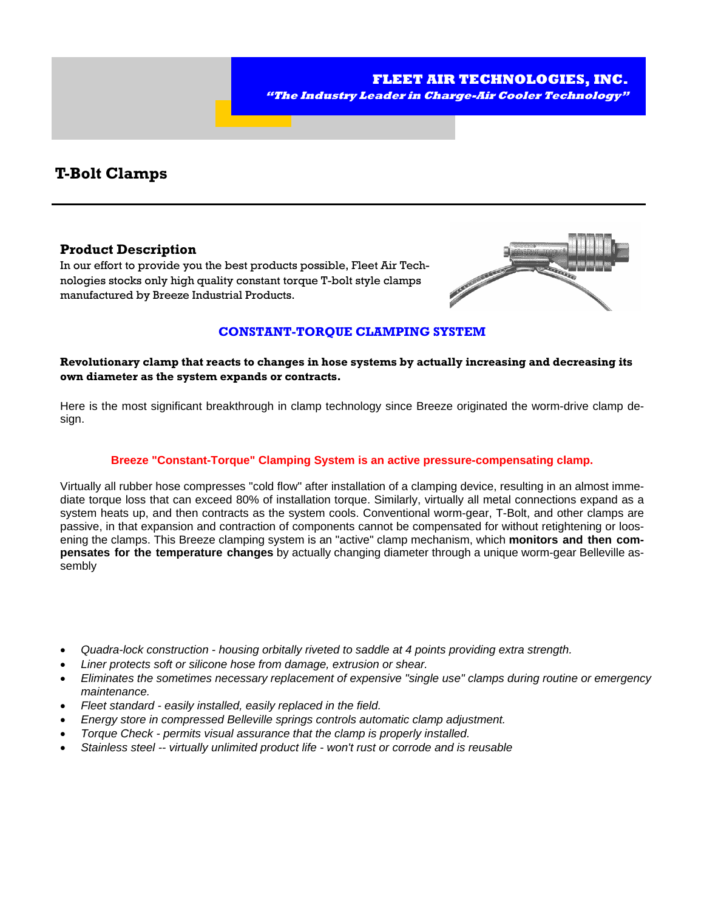

## **T-Bolt Clamps**

### **Product Description**

In our effort to provide you the best products possible, Fleet Air Technologies stocks only high quality constant torque T-bolt style clamps manufactured by Breeze Industrial Products.



### **CONSTANT-TORQUE CLAMPING SYSTEM**

### **Revolutionary clamp that reacts to changes in hose systems by actually increasing and decreasing its own diameter as the system expands or contracts.**

Here is the most significant breakthrough in clamp technology since Breeze originated the worm-drive clamp design.

### **Breeze "Constant-Torque" Clamping System is an active pressure-compensating clamp.**

Virtually all rubber hose compresses "cold flow" after installation of a clamping device, resulting in an almost immediate torque loss that can exceed 80% of installation torque. Similarly, virtually all metal connections expand as a system heats up, and then contracts as the system cools. Conventional worm-gear, T-Bolt, and other clamps are passive, in that expansion and contraction of components cannot be compensated for without retightening or loosening the clamps. This Breeze clamping system is an "active" clamp mechanism, which **monitors and then compensates for the temperature changes** by actually changing diameter through a unique worm-gear Belleville assembly

- *Quadra-lock construction housing orbitally riveted to saddle at 4 points providing extra strength.*
- *Liner protects soft or silicone hose from damage, extrusion or shear.*
- *Eliminates the sometimes necessary replacement of expensive "single use" clamps during routine or emergency maintenance.*
- *Fleet standard easily installed, easily replaced in the field.*
- *Energy store in compressed Belleville springs controls automatic clamp adjustment.*
- *Torque Check permits visual assurance that the clamp is properly installed.*
- *Stainless steel -- virtually unlimited product life won't rust or corrode and is reusable*